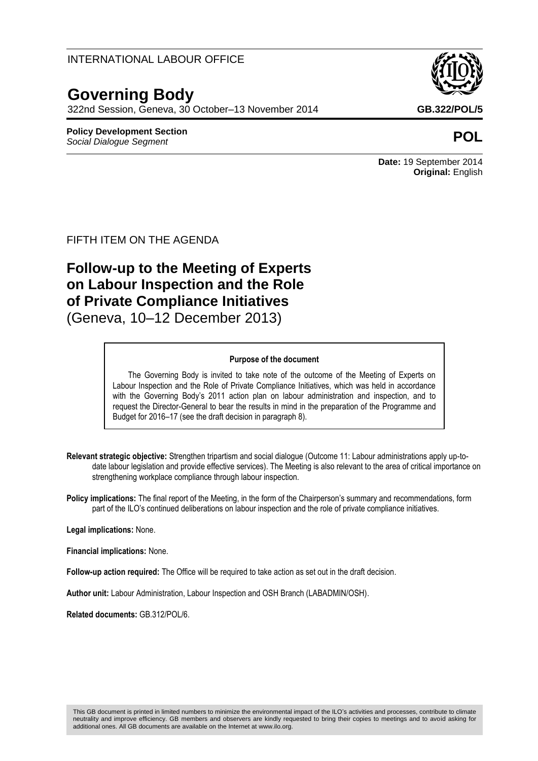### INTERNATIONAL LABOUR OFFICE

# **Governing Body**

322nd Session, Geneva, 30 October–13 November 2014 **GB.322/POL/5**

#### **Policy Development Section** *Social Dialogue Segment* **POL**

**Date:** 19 September 2014 **Original:** English

### FIFTH ITEM ON THE AGENDA

## **Follow-up to the Meeting of Experts on Labour Inspection and the Role of Private Compliance Initiatives** (Geneva, 10–12 December 2013)

#### **Purpose of the document**

The Governing Body is invited to take note of the outcome of the Meeting of Experts on Labour Inspection and the Role of Private Compliance Initiatives, which was held in accordance with the Governing Body's 2011 action plan on labour administration and inspection, and to request the Director-General to bear the results in mind in the preparation of the Programme and Budget for 2016–17 (see the draft decision in paragraph 8).

**Relevant strategic objective:** Strengthen tripartism and social dialogue (Outcome 11: Labour administrations apply up-todate labour legislation and provide effective services). The Meeting is also relevant to the area of critical importance on strengthening workplace compliance through labour inspection.

**Policy implications:** The final report of the Meeting, in the form of the Chairperson's summary and recommendations, form part of the ILO's continued deliberations on labour inspection and the role of private compliance initiatives.

**Legal implications:** None.

**Financial implications:** None.

**Follow-up action required:** The Office will be required to take action as set out in the draft decision.

**Author unit:** Labour Administration, Labour Inspection and OSH Branch (LABADMIN/OSH).

**Related documents:** GB.312/POL/6.

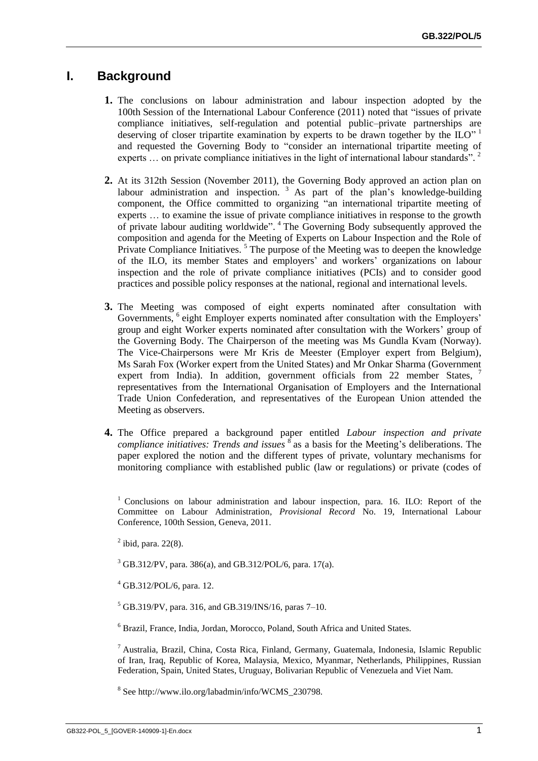## **I. Background**

- **1.** The conclusions on labour administration and labour inspection adopted by the 100th Session of the International Labour Conference (2011) noted that "issues of private compliance initiatives, self-regulation and potential public–private partnerships are deserving of closer tripartite examination by experts to be drawn together by the  $\overline{I\!I\!O}$ <sup>1</sup> and requested the Governing Body to "consider an international tripartite meeting of experts ... on private compliance initiatives in the light of international labour standards".<sup>2</sup>
- **2.** At its 312th Session (November 2011), the Governing Body approved an action plan on labour administration and inspection.<sup>3</sup> As part of the plan's knowledge-building component, the Office committed to organizing "an international tripartite meeting of experts … to examine the issue of private compliance initiatives in response to the growth of private labour auditing worldwide". <sup>4</sup> The Governing Body subsequently approved the composition and agenda for the Meeting of Experts on Labour Inspection and the Role of Private Compliance Initiatives.<sup>5</sup> The purpose of the Meeting was to deepen the knowledge of the ILO, its member States and employers' and workers' organizations on labour inspection and the role of private compliance initiatives (PCIs) and to consider good practices and possible policy responses at the national, regional and international levels.
- **3.** The Meeting was composed of eight experts nominated after consultation with Governments, <sup>6</sup> eight Employer experts nominated after consultation with the Employers' group and eight Worker experts nominated after consultation with the Workers' group of the Governing Body. The Chairperson of the meeting was Ms Gundla Kvam (Norway). The Vice-Chairpersons were Mr Kris de Meester (Employer expert from Belgium), Ms Sarah Fox (Worker expert from the United States) and Mr Onkar Sharma (Government expert from India). In addition, government officials from 22 member States, representatives from the International Organisation of Employers and the International Trade Union Confederation, and representatives of the European Union attended the Meeting as observers.
- **4.** The Office prepared a background paper entitled *Labour inspection and private*  compliance initiatives: Trends and issues <sup>8</sup> as a basis for the Meeting's deliberations. The paper explored the notion and the different types of private, voluntary mechanisms for monitoring compliance with established public (law or regulations) or private (codes of

<sup>1</sup> Conclusions on labour administration and labour inspection, para. 16. ILO: Report of the Committee on Labour Administration*, Provisional Record* No. 19, International Labour Conference, 100th Session, Geneva, 2011.

 $2$  ibid, para. 22(8).

 $3$  GB.312/PV, para. 386(a), and GB.312/POL/6, para. 17(a).

<sup>4</sup> GB.312/POL/6, para. 12.

 $5$  GB.319/PV, para. 316, and GB.319/INS/16, paras 7–10.

<sup>6</sup> Brazil, France, India, Jordan, Morocco, Poland, South Africa and United States.

<sup>7</sup> Australia, Brazil, China, Costa Rica, Finland, Germany, Guatemala, Indonesia, Islamic Republic of Iran, Iraq, Republic of Korea, Malaysia, Mexico, Myanmar, Netherlands, Philippines, Russian Federation, Spain, United States, Uruguay, Bolivarian Republic of Venezuela and Viet Nam.

8 See http://www.ilo.org/labadmin/info/WCMS\_230798.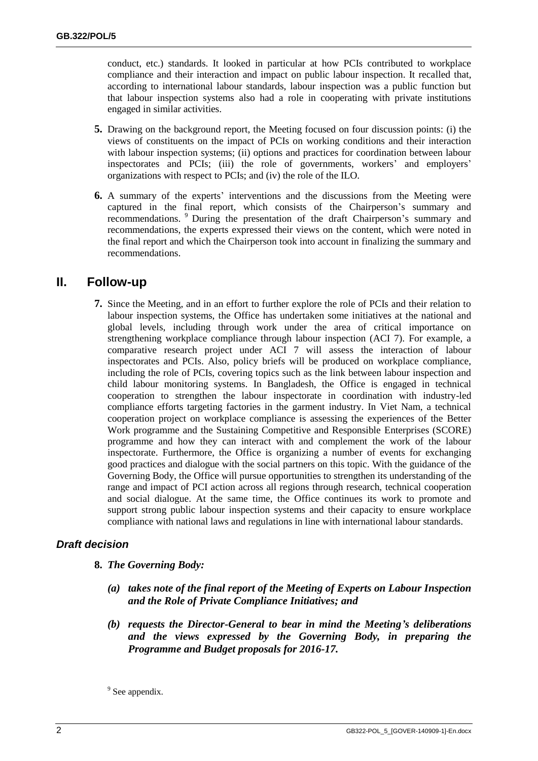conduct, etc.) standards. It looked in particular at how PCIs contributed to workplace compliance and their interaction and impact on public labour inspection. It recalled that, according to international labour standards, labour inspection was a public function but that labour inspection systems also had a role in cooperating with private institutions engaged in similar activities.

- **5.** Drawing on the background report, the Meeting focused on four discussion points: (i) the views of constituents on the impact of PCIs on working conditions and their interaction with labour inspection systems; (ii) options and practices for coordination between labour inspectorates and PCIs; (iii) the role of governments, workers' and employers' organizations with respect to PCIs; and (iv) the role of the ILO.
- **6.** A summary of the experts' interventions and the discussions from the Meeting were captured in the final report, which consists of the Chairperson's summary and recommendations. <sup>9</sup> During the presentation of the draft Chairperson's summary and recommendations, the experts expressed their views on the content, which were noted in the final report and which the Chairperson took into account in finalizing the summary and recommendations.

## **II. Follow-up**

**7.** Since the Meeting, and in an effort to further explore the role of PCIs and their relation to labour inspection systems, the Office has undertaken some initiatives at the national and global levels, including through work under the area of critical importance on strengthening workplace compliance through labour inspection (ACI 7). For example, a comparative research project under ACI 7 will assess the interaction of labour inspectorates and PCIs. Also, policy briefs will be produced on workplace compliance, including the role of PCIs, covering topics such as the link between labour inspection and child labour monitoring systems. In Bangladesh, the Office is engaged in technical cooperation to strengthen the labour inspectorate in coordination with industry-led compliance efforts targeting factories in the garment industry. In Viet Nam, a technical cooperation project on workplace compliance is assessing the experiences of the Better Work programme and the Sustaining Competitive and Responsible Enterprises (SCORE) programme and how they can interact with and complement the work of the labour inspectorate. Furthermore, the Office is organizing a number of events for exchanging good practices and dialogue with the social partners on this topic. With the guidance of the Governing Body, the Office will pursue opportunities to strengthen its understanding of the range and impact of PCI action across all regions through research, technical cooperation and social dialogue. At the same time, the Office continues its work to promote and support strong public labour inspection systems and their capacity to ensure workplace compliance with national laws and regulations in line with international labour standards.

### *Draft decision*

- **8.** *The Governing Body:*
	- *(a) takes note of the final report of the Meeting of Experts on Labour Inspection and the Role of Private Compliance Initiatives; and*
	- *(b) requests the Director-General to bear in mind the Meeting's deliberations and the views expressed by the Governing Body, in preparing the Programme and Budget proposals for 2016-17.*

<sup>&</sup>lt;sup>9</sup> See appendix.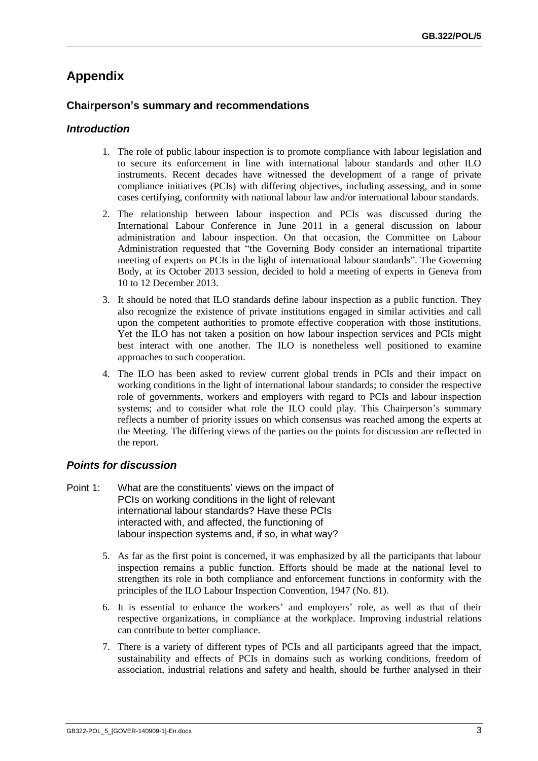## **Appendix**

### **Chairperson's summary and recommendations**

#### *Introduction*

- 1. The role of public labour inspection is to promote compliance with labour legislation and to secure its enforcement in line with international labour standards and other ILO instruments. Recent decades have witnessed the development of a range of private compliance initiatives (PCIs) with differing objectives, including assessing, and in some cases certifying, conformity with national labour law and/or international labour standards.
- 2. The relationship between labour inspection and PCIs was discussed during the International Labour Conference in June 2011 in a general discussion on labour administration and labour inspection. On that occasion, the Committee on Labour Administration requested that "the Governing Body consider an international tripartite meeting of experts on PCIs in the light of international labour standards". The Governing Body, at its October 2013 session, decided to hold a meeting of experts in Geneva from 10 to 12 December 2013.
- 3. It should be noted that ILO standards define labour inspection as a public function. They also recognize the existence of private institutions engaged in similar activities and call upon the competent authorities to promote effective cooperation with those institutions. Yet the ILO has not taken a position on how labour inspection services and PCIs might best interact with one another. The ILO is nonetheless well positioned to examine approaches to such cooperation.
- 4. The ILO has been asked to review current global trends in PCIs and their impact on working conditions in the light of international labour standards; to consider the respective role of governments, workers and employers with regard to PCIs and labour inspection systems; and to consider what role the ILO could play. This Chairperson's summary reflects a number of priority issues on which consensus was reached among the experts at the Meeting. The differing views of the parties on the points for discussion are reflected in the report.

#### *Points for discussion*

- Point 1: What are the constituents' views on the impact of PCIs on working conditions in the light of relevant international labour standards? Have these PCIs interacted with, and affected, the functioning of labour inspection systems and, if so, in what way?
	- 5. As far as the first point is concerned, it was emphasized by all the participants that labour inspection remains a public function. Efforts should be made at the national level to strengthen its role in both compliance and enforcement functions in conformity with the principles of the ILO Labour Inspection Convention, 1947 (No. 81).
	- 6. It is essential to enhance the workers' and employers' role, as well as that of their respective organizations, in compliance at the workplace. Improving industrial relations can contribute to better compliance.
	- 7. There is a variety of different types of PCIs and all participants agreed that the impact, sustainability and effects of PCIs in domains such as working conditions, freedom of association, industrial relations and safety and health, should be further analysed in their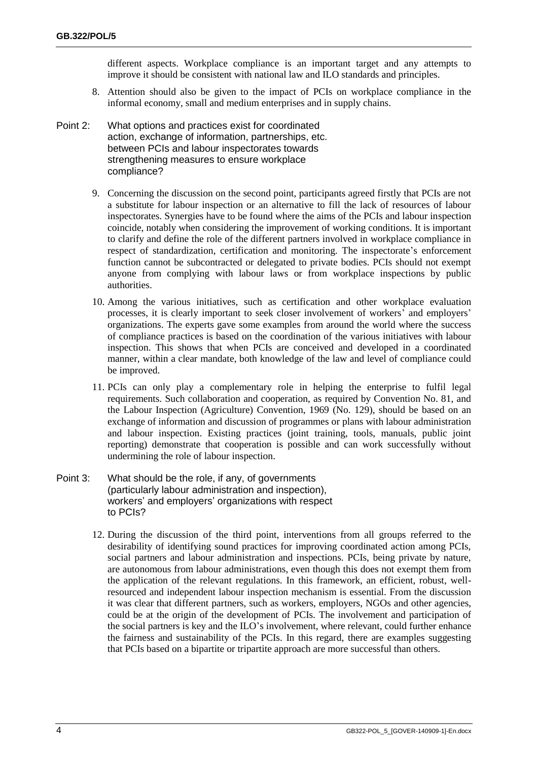different aspects. Workplace compliance is an important target and any attempts to improve it should be consistent with national law and ILO standards and principles.

- 8. Attention should also be given to the impact of PCIs on workplace compliance in the informal economy, small and medium enterprises and in supply chains.
- Point 2: What options and practices exist for coordinated action, exchange of information, partnerships, etc. between PCIs and labour inspectorates towards strengthening measures to ensure workplace compliance?
	- 9. Concerning the discussion on the second point, participants agreed firstly that PCIs are not a substitute for labour inspection or an alternative to fill the lack of resources of labour inspectorates. Synergies have to be found where the aims of the PCIs and labour inspection coincide, notably when considering the improvement of working conditions. It is important to clarify and define the role of the different partners involved in workplace compliance in respect of standardization, certification and monitoring. The inspectorate's enforcement function cannot be subcontracted or delegated to private bodies. PCIs should not exempt anyone from complying with labour laws or from workplace inspections by public authorities.
	- 10. Among the various initiatives, such as certification and other workplace evaluation processes, it is clearly important to seek closer involvement of workers' and employers' organizations. The experts gave some examples from around the world where the success of compliance practices is based on the coordination of the various initiatives with labour inspection. This shows that when PCIs are conceived and developed in a coordinated manner, within a clear mandate, both knowledge of the law and level of compliance could be improved.
	- 11. PCIs can only play a complementary role in helping the enterprise to fulfil legal requirements. Such collaboration and cooperation, as required by Convention No. 81, and the Labour Inspection (Agriculture) Convention, 1969 (No. 129), should be based on an exchange of information and discussion of programmes or plans with labour administration and labour inspection. Existing practices (joint training, tools, manuals, public joint reporting) demonstrate that cooperation is possible and can work successfully without undermining the role of labour inspection.
- Point 3: What should be the role, if any, of governments (particularly labour administration and inspection), workers' and employers' organizations with respect to PCIs?
	- 12. During the discussion of the third point, interventions from all groups referred to the desirability of identifying sound practices for improving coordinated action among PCIs, social partners and labour administration and inspections. PCIs, being private by nature, are autonomous from labour administrations, even though this does not exempt them from the application of the relevant regulations. In this framework, an efficient, robust, wellresourced and independent labour inspection mechanism is essential. From the discussion it was clear that different partners, such as workers, employers, NGOs and other agencies, could be at the origin of the development of PCIs. The involvement and participation of the social partners is key and the ILO's involvement, where relevant, could further enhance the fairness and sustainability of the PCIs. In this regard, there are examples suggesting that PCIs based on a bipartite or tripartite approach are more successful than others.